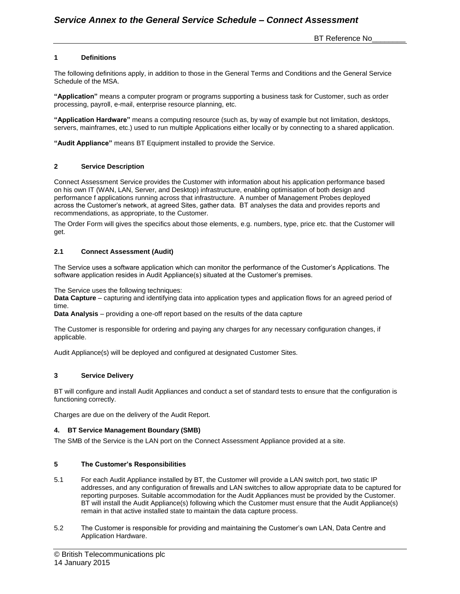BT Reference No

## **1 Definitions**

The following definitions apply, in addition to those in the General Terms and Conditions and the General Service Schedule of the MSA.

**"Application"** means a computer program or programs supporting a business task for Customer, such as order processing, payroll, e-mail, enterprise resource planning, etc.

**"Application Hardware"** means a computing resource (such as, by way of example but not limitation, desktops, servers, mainframes, etc.) used to run multiple Applications either locally or by connecting to a shared application.

**"Audit Appliance"** means BT Equipment installed to provide the Service.

#### **2 Service Description**

Connect Assessment Service provides the Customer with information about his application performance based on his own IT (WAN, LAN, Server, and Desktop) infrastructure, enabling optimisation of both design and performance f applications running across that infrastructure. A number of Management Probes deployed across the Customer's network, at agreed Sites, gather data. BT analyses the data and provides reports and recommendations, as appropriate, to the Customer.

The Order Form will gives the specifics about those elements, e.g. numbers, type, price etc. that the Customer will get.

#### **2.1 Connect Assessment (Audit)**

The Service uses a software application which can monitor the performance of the Customer's Applications. The software application resides in Audit Appliance(s) situated at the Customer's premises.

The Service uses the following techniques:

**Data Capture** – capturing and identifying data into application types and application flows for an agreed period of time.

**Data Analysis** – providing a one-off report based on the results of the data capture

The Customer is responsible for ordering and paying any charges for any necessary configuration changes, if applicable.

Audit Appliance(s) will be deployed and configured at designated Customer Sites.

### **3 Service Delivery**

BT will configure and install Audit Appliances and conduct a set of standard tests to ensure that the configuration is functioning correctly.

Charges are due on the delivery of the Audit Report.

#### **4. BT Service Management Boundary (SMB)**

The SMB of the Service is the LAN port on the Connect Assessment Appliance provided at a site.

#### **5 The Customer's Responsibilities**

- 5.1 For each Audit Appliance installed by BT, the Customer will provide a LAN switch port, two static IP addresses, and any configuration of firewalls and LAN switches to allow appropriate data to be captured for reporting purposes. Suitable accommodation for the Audit Appliances must be provided by the Customer. BT will install the Audit Appliance(s) following which the Customer must ensure that the Audit Appliance(s) remain in that active installed state to maintain the data capture process.
- 5.2 The Customer is responsible for providing and maintaining the Customer's own LAN, Data Centre and Application Hardware.